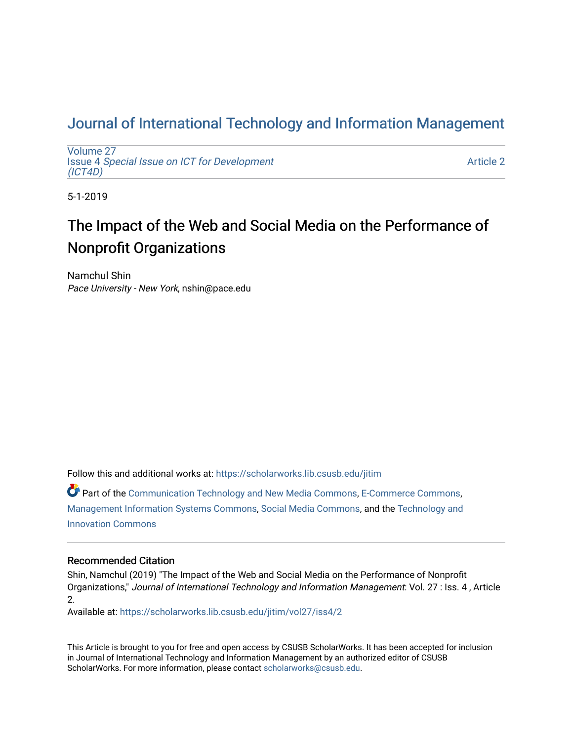## [Journal of International Technology and Information Management](https://scholarworks.lib.csusb.edu/jitim)

[Volume 27](https://scholarworks.lib.csusb.edu/jitim/vol27) Issue 4 [Special Issue on ICT for Development](https://scholarworks.lib.csusb.edu/jitim/vol27/iss4) [\(ICT4D\)](https://scholarworks.lib.csusb.edu/jitim/vol27/iss4) 

[Article 2](https://scholarworks.lib.csusb.edu/jitim/vol27/iss4/2) 

5-1-2019

# The Impact of the Web and Social Media on the Performance of Nonprofit Organizations

Namchul Shin Pace University - New York, nshin@pace.edu

Follow this and additional works at: [https://scholarworks.lib.csusb.edu/jitim](https://scholarworks.lib.csusb.edu/jitim?utm_source=scholarworks.lib.csusb.edu%2Fjitim%2Fvol27%2Fiss4%2F2&utm_medium=PDF&utm_campaign=PDFCoverPages) 

Part of the [Communication Technology and New Media Commons,](http://network.bepress.com/hgg/discipline/327?utm_source=scholarworks.lib.csusb.edu%2Fjitim%2Fvol27%2Fiss4%2F2&utm_medium=PDF&utm_campaign=PDFCoverPages) [E-Commerce Commons](http://network.bepress.com/hgg/discipline/624?utm_source=scholarworks.lib.csusb.edu%2Fjitim%2Fvol27%2Fiss4%2F2&utm_medium=PDF&utm_campaign=PDFCoverPages), [Management Information Systems Commons,](http://network.bepress.com/hgg/discipline/636?utm_source=scholarworks.lib.csusb.edu%2Fjitim%2Fvol27%2Fiss4%2F2&utm_medium=PDF&utm_campaign=PDFCoverPages) [Social Media Commons,](http://network.bepress.com/hgg/discipline/1249?utm_source=scholarworks.lib.csusb.edu%2Fjitim%2Fvol27%2Fiss4%2F2&utm_medium=PDF&utm_campaign=PDFCoverPages) and the [Technology and](http://network.bepress.com/hgg/discipline/644?utm_source=scholarworks.lib.csusb.edu%2Fjitim%2Fvol27%2Fiss4%2F2&utm_medium=PDF&utm_campaign=PDFCoverPages) [Innovation Commons](http://network.bepress.com/hgg/discipline/644?utm_source=scholarworks.lib.csusb.edu%2Fjitim%2Fvol27%2Fiss4%2F2&utm_medium=PDF&utm_campaign=PDFCoverPages)

#### Recommended Citation

Shin, Namchul (2019) "The Impact of the Web and Social Media on the Performance of Nonprofit Organizations," Journal of International Technology and Information Management: Vol. 27 : Iss. 4 , Article 2.

Available at: [https://scholarworks.lib.csusb.edu/jitim/vol27/iss4/2](https://scholarworks.lib.csusb.edu/jitim/vol27/iss4/2?utm_source=scholarworks.lib.csusb.edu%2Fjitim%2Fvol27%2Fiss4%2F2&utm_medium=PDF&utm_campaign=PDFCoverPages) 

This Article is brought to you for free and open access by CSUSB ScholarWorks. It has been accepted for inclusion in Journal of International Technology and Information Management by an authorized editor of CSUSB ScholarWorks. For more information, please contact [scholarworks@csusb.edu.](mailto:scholarworks@csusb.edu)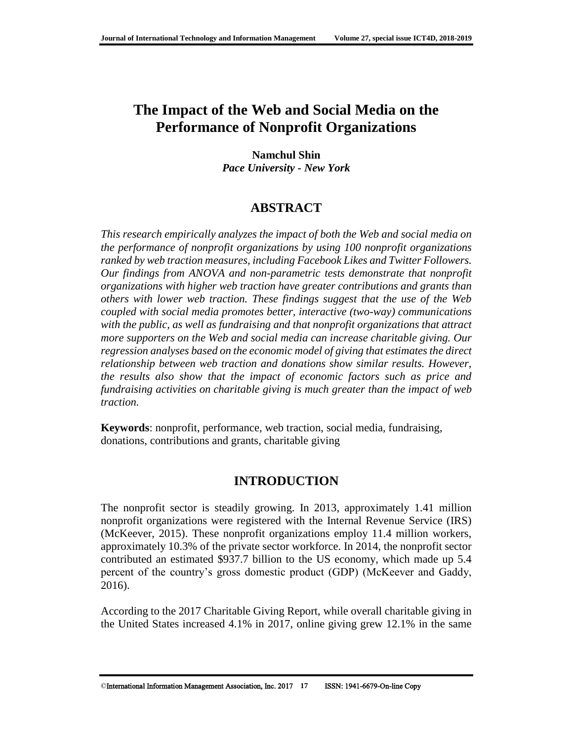## **The Impact of the Web and Social Media on the Performance of Nonprofit Organizations**

#### **Namchul Shin** *Pace University - New York*

## **ABSTRACT**

*This research empirically analyzes the impact of both the Web and social media on the performance of nonprofit organizations by using 100 nonprofit organizations ranked by web traction measures, including Facebook Likes and Twitter Followers. Our findings from ANOVA and non-parametric tests demonstrate that nonprofit organizations with higher web traction have greater contributions and grants than others with lower web traction. These findings suggest that the use of the Web coupled with social media promotes better, interactive (two-way) communications with the public, as well as fundraising and that nonprofit organizations that attract more supporters on the Web and social media can increase charitable giving. Our regression analyses based on the economic model of giving that estimates the direct relationship between web traction and donations show similar results. However, the results also show that the impact of economic factors such as price and fundraising activities on charitable giving is much greater than the impact of web traction.* 

**Keywords**: nonprofit, performance, web traction, social media, fundraising, donations, contributions and grants, charitable giving

## **INTRODUCTION**

The nonprofit sector is steadily growing. In 2013, approximately 1.41 million nonprofit organizations were registered with the Internal Revenue Service (IRS) (McKeever, 2015). These nonprofit organizations employ 11.4 million workers, approximately 10.3% of the private sector workforce. In 2014, the nonprofit sector contributed an estimated \$937.7 billion to the US economy, which made up 5.4 percent of the country's gross domestic product (GDP) (McKeever and Gaddy, 2016).

According to the 2017 Charitable Giving Report, while overall charitable giving in the United States increased 4.1% in 2017, online giving grew 12.1% in the same

<sup>©</sup>International Information Management Association, Inc. 2017 **17** ISSN: 1941-6679-On-line Copy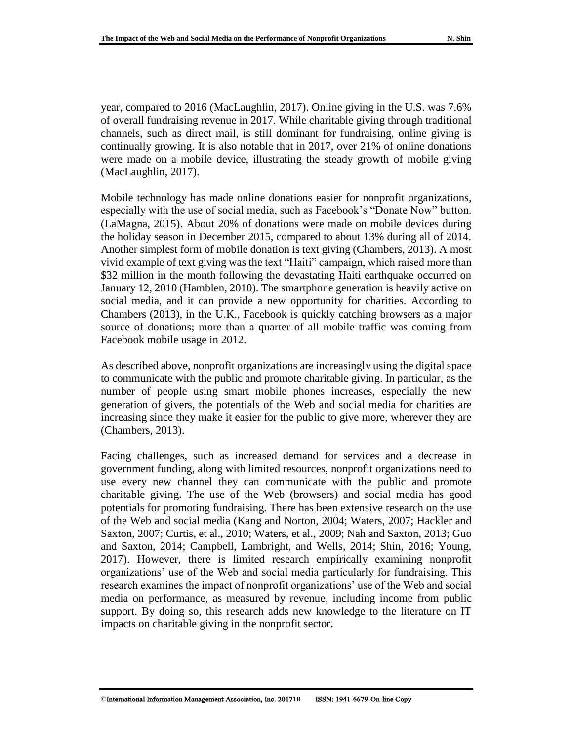year, compared to 2016 (MacLaughlin, 2017). Online giving in the U.S. was 7.6% of overall fundraising revenue in 2017. While charitable giving through traditional channels, such as direct mail, is still dominant for fundraising, online giving is continually growing. It is also notable that in 2017, over 21% of online donations were made on a mobile device, illustrating the steady growth of mobile giving (MacLaughlin, 2017).

Mobile technology has made online donations easier for nonprofit organizations, especially with the use of social media, such as Facebook's "Donate Now" button. (LaMagna, 2015). About 20% of donations were made on mobile devices during the holiday season in December 2015, compared to about 13% during all of 2014. Another simplest form of mobile donation is text giving (Chambers, 2013). A most vivid example of text giving was the text "Haiti" campaign, which raised more than \$32 million in the month following the devastating Haiti earthquake occurred on January 12, 2010 (Hamblen, 2010). The smartphone generation is heavily active on social media, and it can provide a new opportunity for charities. According to Chambers (2013), in the U.K., Facebook is quickly catching browsers as a major source of donations; more than a quarter of all mobile traffic was coming from Facebook mobile usage in 2012.

As described above, nonprofit organizations are increasingly using the digital space to communicate with the public and promote charitable giving. In particular, as the number of people using smart mobile phones increases, especially the new generation of givers, the potentials of the Web and social media for charities are increasing since they make it easier for the public to give more, wherever they are (Chambers, 2013).

Facing challenges, such as increased demand for services and a decrease in government funding, along with limited resources, nonprofit organizations need to use every new channel they can communicate with the public and promote charitable giving. The use of the Web (browsers) and social media has good potentials for promoting fundraising. There has been extensive research on the use of the Web and social media (Kang and Norton, 2004; Waters, 2007; Hackler and Saxton, 2007; Curtis, et al., 2010; Waters, et al., 2009; Nah and Saxton, 2013; Guo and Saxton, 2014; Campbell, Lambright, and Wells, 2014; Shin, 2016; Young, 2017). However, there is limited research empirically examining nonprofit organizations' use of the Web and social media particularly for fundraising. This research examines the impact of nonprofit organizations' use of the Web and social media on performance, as measured by revenue, including income from public support. By doing so, this research adds new knowledge to the literature on IT impacts on charitable giving in the nonprofit sector.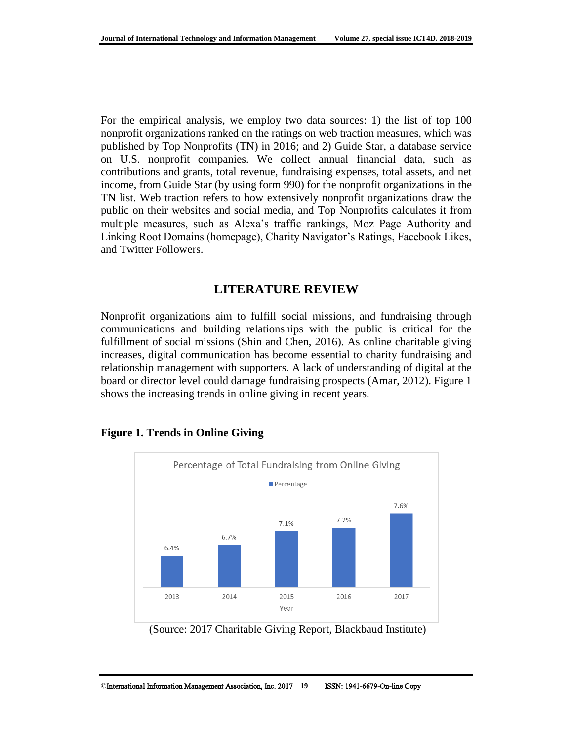For the empirical analysis, we employ two data sources: 1) the list of top 100 nonprofit organizations ranked on the ratings on web traction measures, which was published by Top Nonprofits (TN) in 2016; and 2) Guide Star, a database service on U.S. nonprofit companies. We collect annual financial data, such as contributions and grants, total revenue, fundraising expenses, total assets, and net income, from Guide Star (by using form 990) for the nonprofit organizations in the TN list. Web traction refers to how extensively nonprofit organizations draw the public on their websites and social media, and Top Nonprofits calculates it from multiple measures, such as Alexa's traffic rankings, Moz Page Authority and Linking Root Domains (homepage), Charity Navigator's Ratings, Facebook Likes, and Twitter Followers.

## **LITERATURE REVIEW**

Nonprofit organizations aim to fulfill social missions, and fundraising through communications and building relationships with the public is critical for the fulfillment of social missions (Shin and Chen, 2016). As online charitable giving increases, digital communication has become essential to charity fundraising and relationship management with supporters. A lack of understanding of digital at the board or director level could damage fundraising prospects (Amar, 2012). Figure 1 shows the increasing trends in online giving in recent years.



#### **Figure 1. Trends in Online Giving**

<sup>(</sup>Source: 2017 Charitable Giving Report, Blackbaud Institute)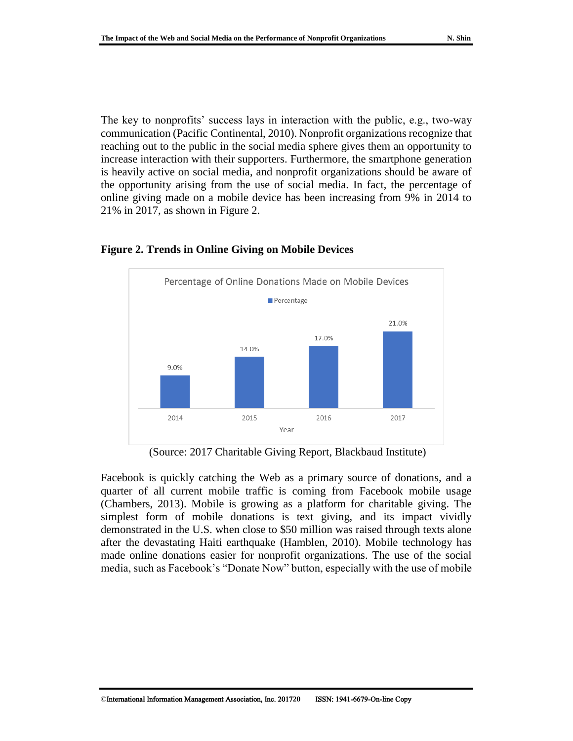The key to nonprofits' success lays in interaction with the public, e.g., two-way communication (Pacific Continental, 2010). Nonprofit organizations recognize that reaching out to the public in the social media sphere gives them an opportunity to increase interaction with their supporters. Furthermore, the smartphone generation is heavily active on social media, and nonprofit organizations should be aware of the opportunity arising from the use of social media. In fact, the percentage of online giving made on a mobile device has been increasing from 9% in 2014 to 21% in 2017, as shown in Figure 2.



#### **Figure 2. Trends in Online Giving on Mobile Devices**

(Source: 2017 Charitable Giving Report, Blackbaud Institute)

Facebook is quickly catching the Web as a primary source of donations, and a quarter of all current mobile traffic is coming from Facebook mobile usage (Chambers, 2013). Mobile is growing as a platform for charitable giving. The simplest form of mobile donations is text giving, and its impact vividly demonstrated in the U.S. when close to \$50 million was raised through texts alone after the devastating Haiti earthquake (Hamblen, 2010). Mobile technology has made online donations easier for nonprofit organizations. The use of the social media, such as Facebook's "Donate Now" button, especially with the use of mobile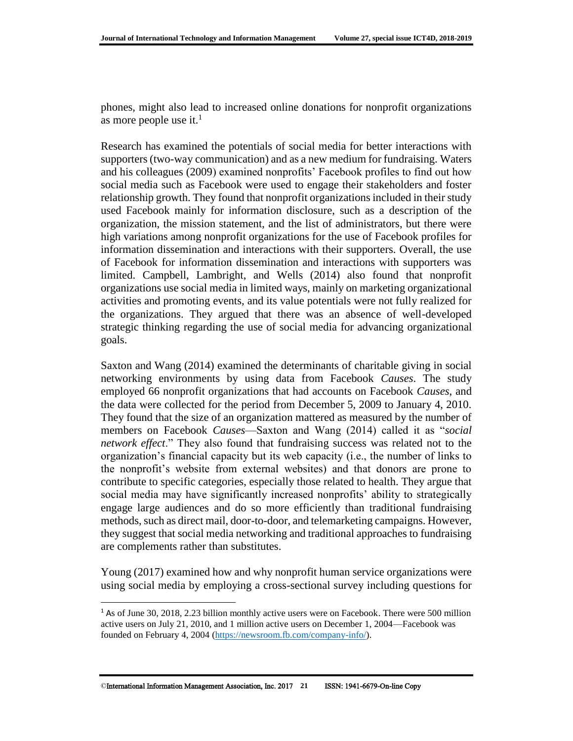phones, might also lead to increased online donations for nonprofit organizations as more people use it. $<sup>1</sup>$ </sup>

Research has examined the potentials of social media for better interactions with supporters (two-way communication) and as a new medium for fundraising. Waters and his colleagues (2009) examined nonprofits' Facebook profiles to find out how social media such as Facebook were used to engage their stakeholders and foster relationship growth. They found that nonprofit organizations included in their study used Facebook mainly for information disclosure, such as a description of the organization, the mission statement, and the list of administrators, but there were high variations among nonprofit organizations for the use of Facebook profiles for information dissemination and interactions with their supporters. Overall, the use of Facebook for information dissemination and interactions with supporters was limited. Campbell, Lambright, and Wells (2014) also found that nonprofit organizations use social media in limited ways, mainly on marketing organizational activities and promoting events, and its value potentials were not fully realized for the organizations. They argued that there was an absence of well-developed strategic thinking regarding the use of social media for advancing organizational goals.

Saxton and Wang (2014) examined the determinants of charitable giving in social networking environments by using data from Facebook *Causes*. The study employed 66 nonprofit organizations that had accounts on Facebook *Causes*, and the data were collected for the period from December 5, 2009 to January 4, 2010. They found that the size of an organization mattered as measured by the number of members on Facebook *Causes*—Saxton and Wang (2014) called it as "*social network effect*." They also found that fundraising success was related not to the organization's financial capacity but its web capacity (i.e., the number of links to the nonprofit's website from external websites) and that donors are prone to contribute to specific categories, especially those related to health. They argue that social media may have significantly increased nonprofits' ability to strategically engage large audiences and do so more efficiently than traditional fundraising methods, such as direct mail, door-to-door, and telemarketing campaigns. However, they suggest that social media networking and traditional approaches to fundraising are complements rather than substitutes.

Young (2017) examined how and why nonprofit human service organizations were using social media by employing a cross-sectional survey including questions for

l

<sup>1</sup> As of June 30, 2018, 2.23 billion monthly active users were on Facebook. There were 500 million active users on July 21, 2010, and 1 million active users on December 1, 2004—Facebook was founded on February 4, 2004 [\(https://newsroom.fb.com/company-info/\)](https://newsroom.fb.com/company-info/).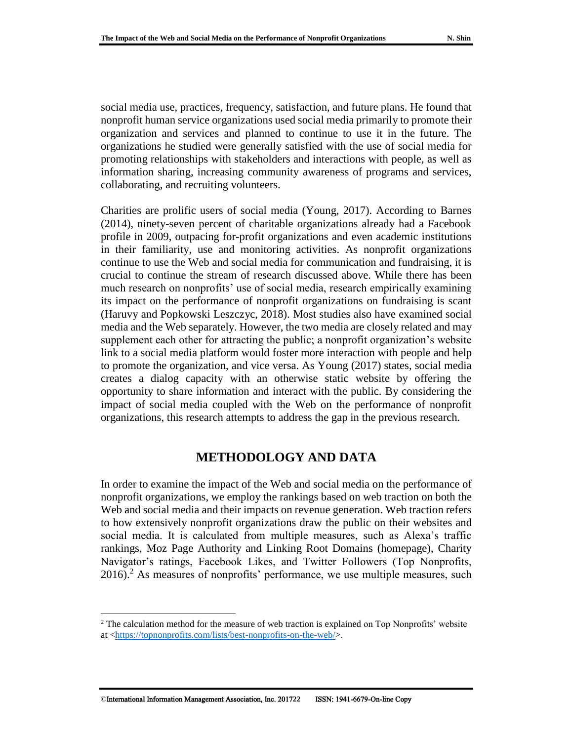social media use, practices, frequency, satisfaction, and future plans. He found that nonprofit human service organizations used social media primarily to promote their organization and services and planned to continue to use it in the future. The organizations he studied were generally satisfied with the use of social media for promoting relationships with stakeholders and interactions with people, as well as information sharing, increasing community awareness of programs and services, collaborating, and recruiting volunteers.

Charities are prolific users of social media (Young, 2017). According to Barnes (2014), ninety-seven percent of charitable organizations already had a Facebook profile in 2009, outpacing for-profit organizations and even academic institutions in their familiarity, use and monitoring activities. As nonprofit organizations continue to use the Web and social media for communication and fundraising, it is crucial to continue the stream of research discussed above. While there has been much research on nonprofits' use of social media, research empirically examining its impact on the performance of nonprofit organizations on fundraising is scant (Haruvy and Popkowski Leszczyc, 2018). Most studies also have examined social media and the Web separately. However, the two media are closely related and may supplement each other for attracting the public; a nonprofit organization's website link to a social media platform would foster more interaction with people and help to promote the organization, and vice versa. As Young (2017) states, social media creates a dialog capacity with an otherwise static website by offering the opportunity to share information and interact with the public. By considering the impact of social media coupled with the Web on the performance of nonprofit organizations, this research attempts to address the gap in the previous research.

#### **METHODOLOGY AND DATA**

In order to examine the impact of the Web and social media on the performance of nonprofit organizations, we employ the rankings based on web traction on both the Web and social media and their impacts on revenue generation. Web traction refers to how extensively nonprofit organizations draw the public on their websites and social media. It is calculated from multiple measures, such as Alexa's traffic rankings, Moz Page Authority and Linking Root Domains (homepage), Charity Navigator's ratings, Facebook Likes, and Twitter Followers (Top Nonprofits,  $2016$ .<sup>2</sup> As measures of nonprofits' performance, we use multiple measures, such

 $\overline{a}$ 

 $2$ <sup>2</sup> The calculation method for the measure of web traction is explained on Top Nonprofits' website at [<https://topnonprofits.com/lists/best-nonprofits-on-the-web/>](https://topnonprofits.com/lists/best-nonprofits-on-the-web/).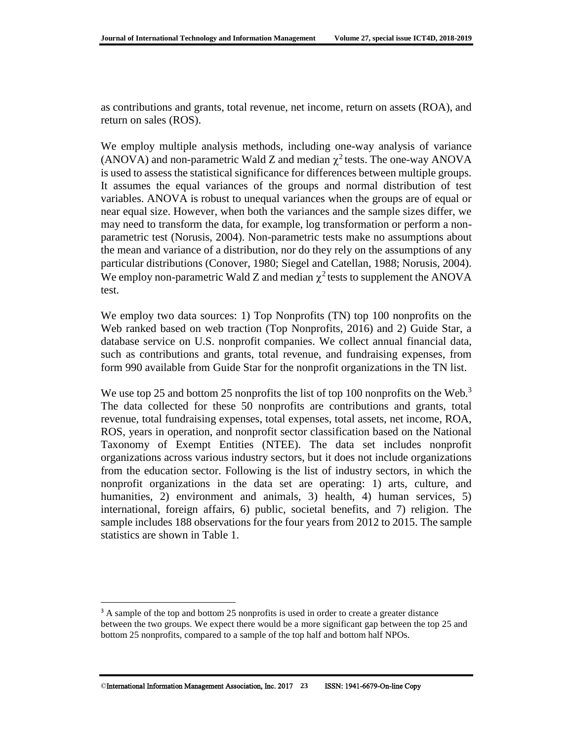as contributions and grants, total revenue, net income, return on assets (ROA), and return on sales (ROS).

We employ multiple analysis methods, including one-way analysis of variance (ANOVA) and non-parametric Wald Z and median  $\chi^2$  tests. The one-way ANOVA is used to assess the statistical significance for differences between multiple groups. It assumes the equal variances of the groups and normal distribution of test variables. ANOVA is robust to unequal variances when the groups are of equal or near equal size. However, when both the variances and the sample sizes differ, we may need to transform the data, for example, log transformation or perform a nonparametric test (Norusis, 2004). Non-parametric tests make no assumptions about the mean and variance of a distribution, nor do they rely on the assumptions of any particular distributions (Conover, 1980; Siegel and Catellan, 1988; Norusis, 2004). We employ non-parametric Wald Z and median  $\chi^2$  tests to supplement the ANOVA test.

We employ two data sources: 1) Top Nonprofits (TN) top 100 nonprofits on the Web ranked based on web traction (Top Nonprofits, 2016) and 2) Guide Star, a database service on U.S. nonprofit companies. We collect annual financial data, such as contributions and grants, total revenue, and fundraising expenses, from form 990 available from Guide Star for the nonprofit organizations in the TN list.

We use top 25 and bottom 25 nonprofits the list of top 100 nonprofits on the Web.<sup>3</sup> The data collected for these 50 nonprofits are contributions and grants, total revenue, total fundraising expenses, total expenses, total assets, net income, ROA, ROS, years in operation, and nonprofit sector classification based on the National Taxonomy of Exempt Entities (NTEE). The data set includes nonprofit organizations across various industry sectors, but it does not include organizations from the education sector. Following is the list of industry sectors, in which the nonprofit organizations in the data set are operating: 1) arts, culture, and humanities, 2) environment and animals, 3) health, 4) human services, 5) international, foreign affairs, 6) public, societal benefits, and 7) religion. The sample includes 188 observations for the four years from 2012 to 2015. The sample statistics are shown in Table 1.

l

<sup>&</sup>lt;sup>3</sup> A sample of the top and bottom 25 nonprofits is used in order to create a greater distance between the two groups. We expect there would be a more significant gap between the top 25 and bottom 25 nonprofits, compared to a sample of the top half and bottom half NPOs.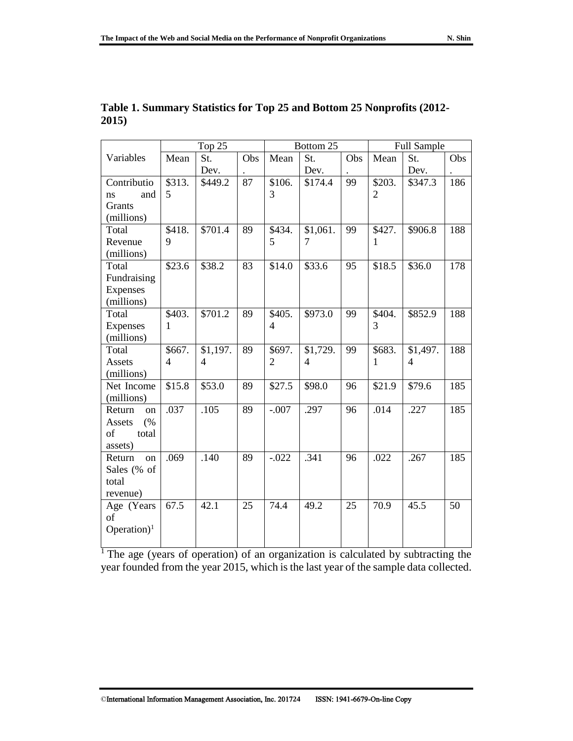|                         | Top 25         |                |     | Bottom 25      |                |     | <b>Full Sample</b> |                |     |
|-------------------------|----------------|----------------|-----|----------------|----------------|-----|--------------------|----------------|-----|
| Variables               | Mean           | St.            | Obs | Mean           | St.            | Obs | Mean               | St.            | Obs |
|                         |                | Dev.           |     |                | Dev.           |     |                    | Dev.           |     |
| Contributio             | \$313.         | \$449.2        | 87  | \$106.         | \$174.4        | 99  | $\overline{$}203.$ | \$347.3        | 186 |
| and<br>ns               | 5              |                |     | 3              |                |     | $\overline{2}$     |                |     |
| Grants                  |                |                |     |                |                |     |                    |                |     |
| (millions)              |                |                |     |                |                |     |                    |                |     |
| Total                   | \$418.         | \$701.4        | 89  | \$434.         | \$1,061.       | 99  | \$427.             | \$906.8        | 188 |
| Revenue                 | 9              |                |     | 5              | 7              |     | 1                  |                |     |
| (millions)              |                |                |     |                |                |     |                    |                |     |
| Total                   | \$23.6         | \$38.2         | 83  | \$14.0         | \$33.6         | 95  | \$18.5             | \$36.0         | 178 |
| Fundraising             |                |                |     |                |                |     |                    |                |     |
| Expenses                |                |                |     |                |                |     |                    |                |     |
| (millions)              |                |                |     |                |                |     |                    |                |     |
| Total                   | \$403.         | \$701.2        | 89  | \$405.         | \$973.0        | 99  | \$404.             | \$852.9        | 188 |
| Expenses                | 1              |                |     | $\overline{4}$ |                |     | 3                  |                |     |
| (millions)              |                |                |     |                |                |     |                    |                |     |
| Total                   | \$667.         | \$1,197.       | 89  | \$697.         | \$1,729.       | 99  | \$683.             | \$1,497.       | 188 |
| Assets                  | $\overline{4}$ | $\overline{4}$ |     | $\overline{2}$ | $\overline{4}$ |     | 1                  | $\overline{4}$ |     |
| (millions)              |                |                |     |                |                |     |                    |                |     |
| Net Income              | \$15.8         | \$53.0         | 89  | \$27.5         | \$98.0         | 96  | \$21.9             | \$79.6         | 185 |
| (millions)              |                |                |     |                |                |     |                    |                |     |
| Return<br>on            | .037           | .105           | 89  | $-.007$        | .297           | 96  | .014               | .227           | 185 |
| (%<br>Assets            |                |                |     |                |                |     |                    |                |     |
| of<br>total             |                |                |     |                |                |     |                    |                |     |
| assets)                 |                |                |     |                |                |     |                    |                |     |
| Return<br>on            | .069           | .140           | 89  | $-.022$        | .341           | 96  | .022               | .267           | 185 |
| Sales (% of             |                |                |     |                |                |     |                    |                |     |
| total                   |                |                |     |                |                |     |                    |                |     |
| revenue)                |                |                |     |                |                |     |                    |                |     |
| Age (Years              | 67.5           | 42.1           | 25  | 74.4           | 49.2           | 25  | 70.9               | 45.5           | 50  |
| of                      |                |                |     |                |                |     |                    |                |     |
| Operation) <sup>1</sup> |                |                |     |                |                |     |                    |                |     |
|                         |                |                |     |                |                |     |                    |                |     |

| Table 1. Summary Statistics for Top 25 and Bottom 25 Nonprofits (2012- |  |  |
|------------------------------------------------------------------------|--|--|
| 2015)                                                                  |  |  |

<sup>1</sup> The age (years of operation) of an organization is calculated by subtracting the year founded from the year 2015, which is the last year of the sample data collected.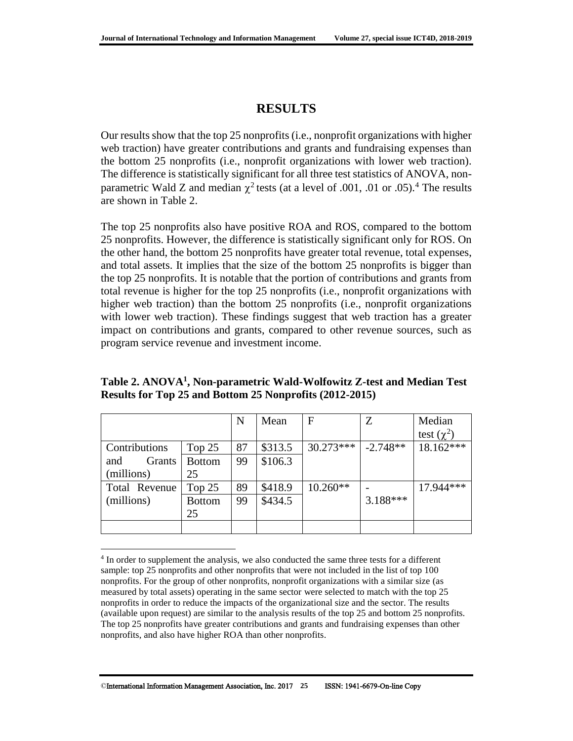## **RESULTS**

Our results show that the top 25 nonprofits (i.e., nonprofit organizations with higher web traction) have greater contributions and grants and fundraising expenses than the bottom 25 nonprofits (i.e., nonprofit organizations with lower web traction). The difference is statistically significant for all three test statistics of ANOVA, nonparametric Wald Z and median  $\chi^2$  tests (at a level of .001, .01 or .05).<sup>4</sup> The results are shown in Table 2.

The top 25 nonprofits also have positive ROA and ROS, compared to the bottom 25 nonprofits. However, the difference is statistically significant only for ROS. On the other hand, the bottom 25 nonprofits have greater total revenue, total expenses, and total assets. It implies that the size of the bottom 25 nonprofits is bigger than the top 25 nonprofits. It is notable that the portion of contributions and grants from total revenue is higher for the top 25 nonprofits (i.e., nonprofit organizations with higher web traction) than the bottom 25 nonprofits (i.e., nonprofit organizations with lower web traction). These findings suggest that web traction has a greater impact on contributions and grants, compared to other revenue sources, such as program service revenue and investment income.

|               |               | N  | Mean    | $\mathbf F$ | Z          | Median          |
|---------------|---------------|----|---------|-------------|------------|-----------------|
|               |               |    |         |             |            | test $(\chi^2)$ |
| Contributions | Top $25$      | 87 | \$313.5 | $30.273***$ | $-2.748**$ | 18.162***       |
| Grants<br>and | <b>Bottom</b> | 99 | \$106.3 |             |            |                 |
| (millions)    | 25            |    |         |             |            |                 |
| Total Revenue | Top 25        | 89 | \$418.9 | $10.260**$  |            | 17.944***       |
| (millions)    | <b>Bottom</b> | 99 | \$434.5 |             | $3.188***$ |                 |
|               | 25            |    |         |             |            |                 |
|               |               |    |         |             |            |                 |

**Table 2. ANOVA<sup>1</sup> , Non-parametric Wald-Wolfowitz Z-test and Median Test Results for Top 25 and Bottom 25 Nonprofits (2012-2015)**

 $\overline{a}$ 

<sup>&</sup>lt;sup>4</sup> In order to supplement the analysis, we also conducted the same three tests for a different sample: top 25 nonprofits and other nonprofits that were not included in the list of top 100 nonprofits. For the group of other nonprofits, nonprofit organizations with a similar size (as measured by total assets) operating in the same sector were selected to match with the top 25 nonprofits in order to reduce the impacts of the organizational size and the sector. The results (available upon request) are similar to the analysis results of the top 25 and bottom 25 nonprofits. The top 25 nonprofits have greater contributions and grants and fundraising expenses than other nonprofits, and also have higher ROA than other nonprofits.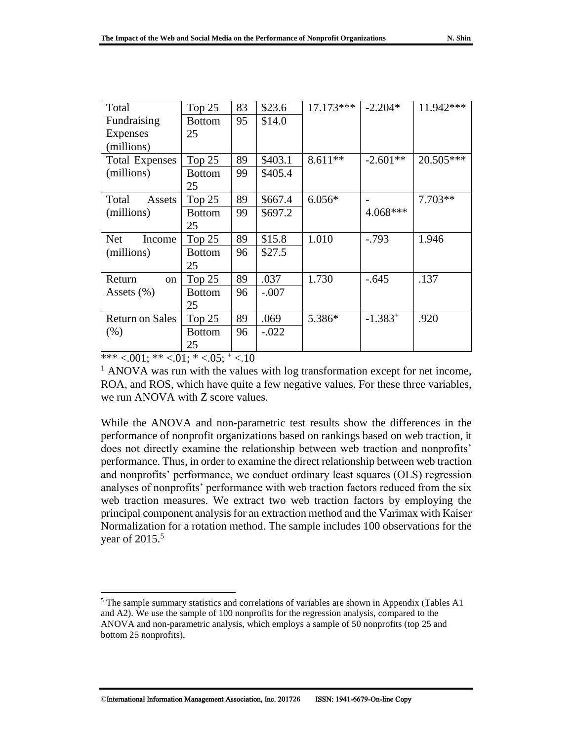| Total                   | Top 25        | 83 | \$23.6  | $17.173***$ | $-2.204*$    | 11.942*** |
|-------------------------|---------------|----|---------|-------------|--------------|-----------|
| Fundraising             | <b>Bottom</b> | 95 | \$14.0  |             |              |           |
| <b>Expenses</b>         | 25            |    |         |             |              |           |
| (millions)              |               |    |         |             |              |           |
| <b>Total Expenses</b>   | Top 25        | 89 | \$403.1 | $8.611**$   | $-2.601**$   | 20.505*** |
| (millions)              | <b>Bottom</b> | 99 | \$405.4 |             |              |           |
|                         | 25            |    |         |             |              |           |
| Total<br>Assets         | Top $25$      | 89 | \$667.4 | $6.056*$    |              | $7.703**$ |
| (millions)              | <b>Bottom</b> | 99 | \$697.2 |             | 4.068***     |           |
|                         | 25            |    |         |             |              |           |
| <b>Net</b><br>Income    | Top 25        | 89 | \$15.8  | 1.010       | $-.793$      | 1.946     |
| (millions)              | <b>Bottom</b> | 96 | \$27.5  |             |              |           |
|                         | 25            |    |         |             |              |           |
| Return<br><sub>on</sub> | Top 25        | 89 | .037    | 1.730       | $-.645$      | .137      |
| Assets $(\% )$          | <b>Bottom</b> | 96 | $-.007$ |             |              |           |
|                         | 25            |    |         |             |              |           |
| <b>Return on Sales</b>  | Top 25        | 89 | .069    | 5.386*      | $-1.383^{+}$ | .920      |
| (% )                    | <b>Bottom</b> | 96 | $-.022$ |             |              |           |
|                         | 25            |    |         |             |              |           |

\*\*\*  $< 001$ ; \*\*  $< 01$ ; \*  $< 05$ ;  $<sup>+</sup>$   $< 10$ </sup>

 $\overline{a}$ 

<sup>1</sup> ANOVA was run with the values with log transformation except for net income, ROA, and ROS, which have quite a few negative values. For these three variables, we run ANOVA with Z score values.

While the ANOVA and non-parametric test results show the differences in the performance of nonprofit organizations based on rankings based on web traction, it does not directly examine the relationship between web traction and nonprofits' performance. Thus, in order to examine the direct relationship between web traction and nonprofits' performance, we conduct ordinary least squares (OLS) regression analyses of nonprofits' performance with web traction factors reduced from the six web traction measures. We extract two web traction factors by employing the principal component analysis for an extraction method and the Varimax with Kaiser Normalization for a rotation method. The sample includes 100 observations for the year of 2015.<sup>5</sup>

<sup>&</sup>lt;sup>5</sup> The sample summary statistics and correlations of variables are shown in Appendix (Tables A1 and A2). We use the sample of 100 nonprofits for the regression analysis, compared to the ANOVA and non-parametric analysis, which employs a sample of 50 nonprofits (top 25 and bottom 25 nonprofits).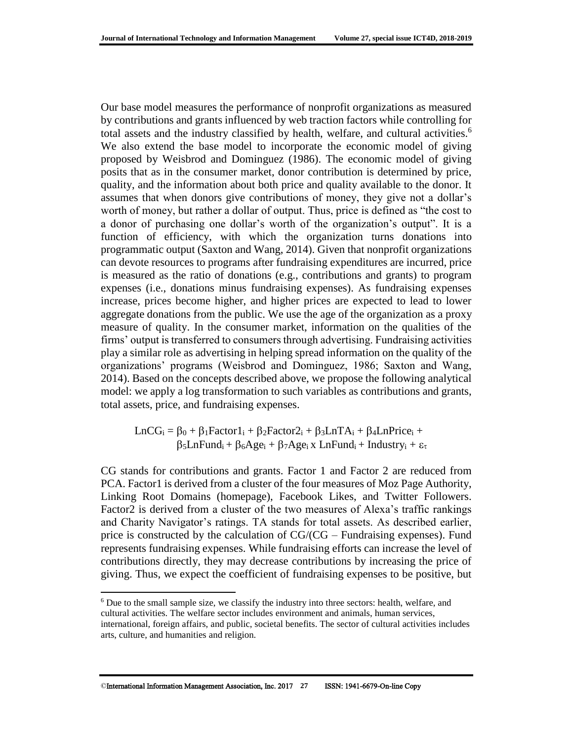Our base model measures the performance of nonprofit organizations as measured by contributions and grants influenced by web traction factors while controlling for total assets and the industry classified by health, welfare, and cultural activities.<sup>6</sup> We also extend the base model to incorporate the economic model of giving proposed by Weisbrod and Dominguez (1986). The economic model of giving posits that as in the consumer market, donor contribution is determined by price, quality, and the information about both price and quality available to the donor. It assumes that when donors give contributions of money, they give not a dollar's worth of money, but rather a dollar of output. Thus, price is defined as "the cost to a donor of purchasing one dollar's worth of the organization's output". It is a function of efficiency, with which the organization turns donations into programmatic output (Saxton and Wang, 2014). Given that nonprofit organizations can devote resources to programs after fundraising expenditures are incurred, price is measured as the ratio of donations (e.g., contributions and grants) to program expenses (i.e., donations minus fundraising expenses). As fundraising expenses increase, prices become higher, and higher prices are expected to lead to lower aggregate donations from the public. We use the age of the organization as a proxy measure of quality. In the consumer market, information on the qualities of the firms' output is transferred to consumers through advertising. Fundraising activities play a similar role as advertising in helping spread information on the quality of the organizations' programs (Weisbrod and Dominguez, 1986; Saxton and Wang, 2014). Based on the concepts described above, we propose the following analytical model: we apply a log transformation to such variables as contributions and grants, total assets, price, and fundraising expenses.

LnCG<sub>i</sub> =  $\beta_0$  +  $\beta_1$ Factor1<sub>i</sub> +  $\beta_2$ Factor2<sub>i</sub> +  $\beta_3$ LnTA<sub>i</sub> +  $\beta_4$ LnPrice<sub>i</sub> +  $\beta_5$ LnFund<sub>i</sub> +  $\beta_6$ Age<sub>i</sub> +  $\beta_7$ Age<sub>i</sub> x LnFund<sub>i</sub> + Industry<sub>i</sub> +  $\varepsilon_{\tau}$ 

CG stands for contributions and grants. Factor 1 and Factor 2 are reduced from PCA. Factor1 is derived from a cluster of the four measures of Moz Page Authority, Linking Root Domains (homepage), Facebook Likes, and Twitter Followers. Factor2 is derived from a cluster of the two measures of Alexa's traffic rankings and Charity Navigator's ratings. TA stands for total assets. As described earlier, price is constructed by the calculation of CG/(CG – Fundraising expenses). Fund represents fundraising expenses. While fundraising efforts can increase the level of contributions directly, they may decrease contributions by increasing the price of giving. Thus, we expect the coefficient of fundraising expenses to be positive, but

 $\overline{a}$ 

<sup>6</sup> Due to the small sample size, we classify the industry into three sectors: health, welfare, and cultural activities. The welfare sector includes environment and animals, human services, international, foreign affairs, and public, societal benefits. The sector of cultural activities includes arts, culture, and humanities and religion.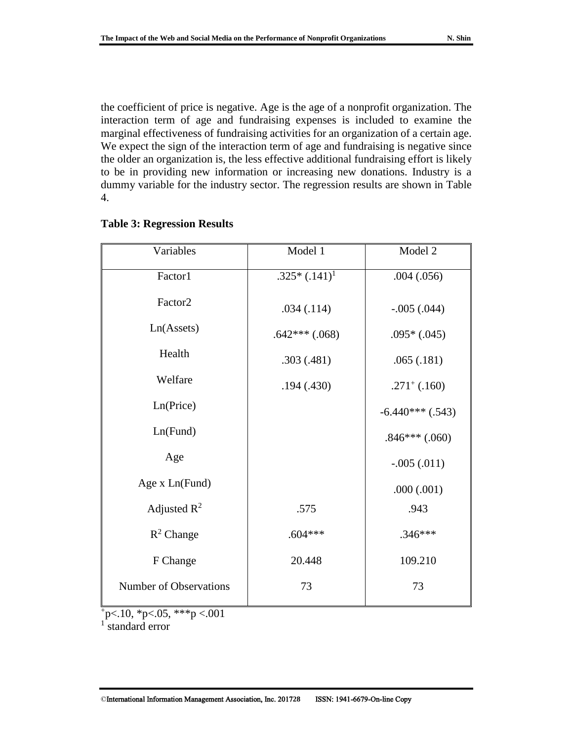the coefficient of price is negative. Age is the age of a nonprofit organization. The interaction term of age and fundraising expenses is included to examine the marginal effectiveness of fundraising activities for an organization of a certain age. We expect the sign of the interaction term of age and fundraising is negative since the older an organization is, the less effective additional fundraising effort is likely to be in providing new information or increasing new donations. Industry is a dummy variable for the industry sector. The regression results are shown in Table 4.

| Variables              | Model 1           | Model 2            |  |
|------------------------|-------------------|--------------------|--|
| Factor1                | $.325*(.141)^{1}$ | .004(.056)         |  |
| Factor <sub>2</sub>    | .034(.114)        | $-.005(.044)$      |  |
| Ln(Assets)             | $.642***(.068)$   | $.095*(.045)$      |  |
| Health                 | .303(.481)        | .065(.181)         |  |
| Welfare                | .194(.430)        | $.271^+$ (.160)    |  |
| Ln(Price)              |                   | $-6.440***$ (.543) |  |
| Ln(Fund)               |                   | $.846***$ $(.060)$ |  |
| Age                    |                   | $-.005(.011)$      |  |
| Age x Ln(Fund)         |                   | .000(.001)         |  |
| Adjusted $R^2$         | .575              | .943               |  |
| $R^2$ Change           | $.604***$         | $.346***$          |  |
| F Change               | 20.448            | 109.210            |  |
| Number of Observations | 73                | 73                 |  |

#### **Table 3: Regression Results**

 $p<10$ , \*p<.05, \*\*\*p <.001

1 standard error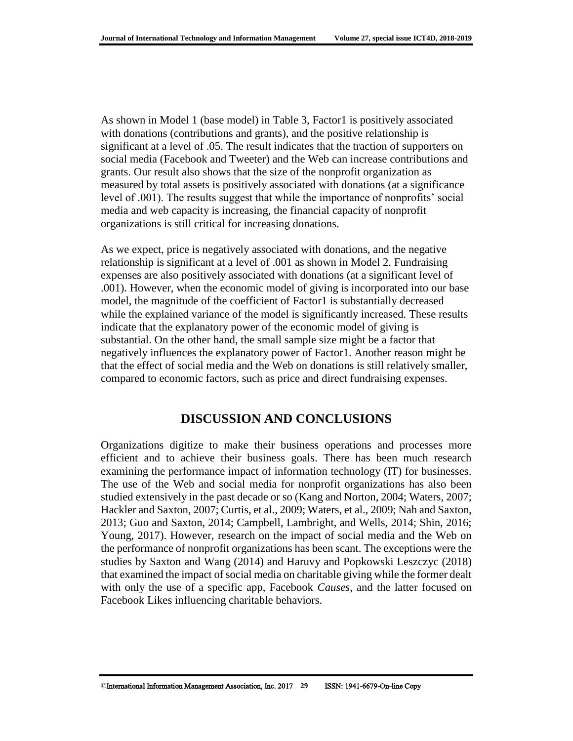As shown in Model 1 (base model) in Table 3, Factor1 is positively associated with donations (contributions and grants), and the positive relationship is significant at a level of .05. The result indicates that the traction of supporters on social media (Facebook and Tweeter) and the Web can increase contributions and grants. Our result also shows that the size of the nonprofit organization as measured by total assets is positively associated with donations (at a significance level of .001). The results suggest that while the importance of nonprofits' social media and web capacity is increasing, the financial capacity of nonprofit organizations is still critical for increasing donations.

As we expect, price is negatively associated with donations, and the negative relationship is significant at a level of .001 as shown in Model 2. Fundraising expenses are also positively associated with donations (at a significant level of .001). However, when the economic model of giving is incorporated into our base model, the magnitude of the coefficient of Factor1 is substantially decreased while the explained variance of the model is significantly increased. These results indicate that the explanatory power of the economic model of giving is substantial. On the other hand, the small sample size might be a factor that negatively influences the explanatory power of Factor1. Another reason might be that the effect of social media and the Web on donations is still relatively smaller, compared to economic factors, such as price and direct fundraising expenses.

## **DISCUSSION AND CONCLUSIONS**

Organizations digitize to make their business operations and processes more efficient and to achieve their business goals. There has been much research examining the performance impact of information technology (IT) for businesses. The use of the Web and social media for nonprofit organizations has also been studied extensively in the past decade or so (Kang and Norton, 2004; Waters, 2007; Hackler and Saxton, 2007; Curtis, et al., 2009; Waters, et al., 2009; Nah and Saxton, 2013; Guo and Saxton, 2014; Campbell, Lambright, and Wells, 2014; Shin, 2016; Young, 2017). However, research on the impact of social media and the Web on the performance of nonprofit organizations has been scant. The exceptions were the studies by Saxton and Wang (2014) and Haruvy and Popkowski Leszczyc (2018) that examined the impact of social media on charitable giving while the former dealt with only the use of a specific app, Facebook *Causes*, and the latter focused on Facebook Likes influencing charitable behaviors.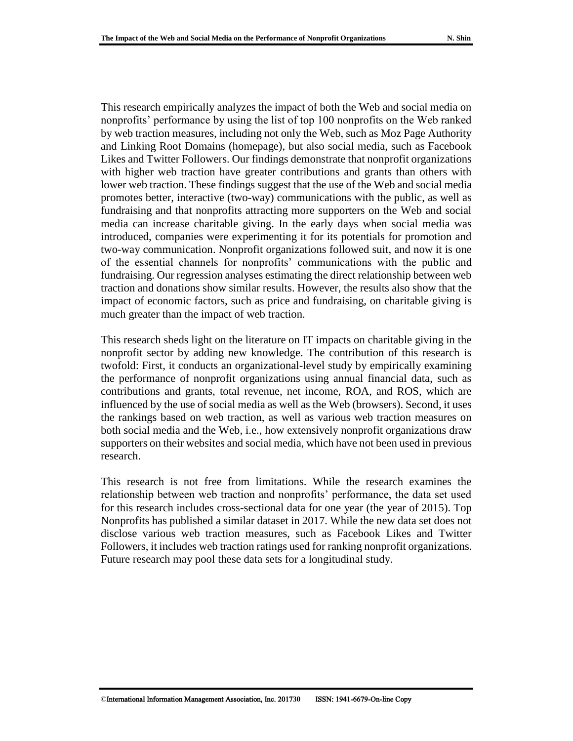This research empirically analyzes the impact of both the Web and social media on nonprofits' performance by using the list of top 100 nonprofits on the Web ranked by web traction measures, including not only the Web, such as Moz Page Authority and Linking Root Domains (homepage), but also social media, such as Facebook Likes and Twitter Followers. Our findings demonstrate that nonprofit organizations with higher web traction have greater contributions and grants than others with lower web traction. These findings suggest that the use of the Web and social media promotes better, interactive (two-way) communications with the public, as well as fundraising and that nonprofits attracting more supporters on the Web and social media can increase charitable giving. In the early days when social media was introduced, companies were experimenting it for its potentials for promotion and two-way communication. Nonprofit organizations followed suit, and now it is one of the essential channels for nonprofits' communications with the public and fundraising. Our regression analyses estimating the direct relationship between web traction and donations show similar results. However, the results also show that the impact of economic factors, such as price and fundraising, on charitable giving is much greater than the impact of web traction.

This research sheds light on the literature on IT impacts on charitable giving in the nonprofit sector by adding new knowledge. The contribution of this research is twofold: First, it conducts an organizational-level study by empirically examining the performance of nonprofit organizations using annual financial data, such as contributions and grants, total revenue, net income, ROA, and ROS, which are influenced by the use of social media as well as the Web (browsers). Second, it uses the rankings based on web traction, as well as various web traction measures on both social media and the Web, i.e., how extensively nonprofit organizations draw supporters on their websites and social media, which have not been used in previous research.

This research is not free from limitations. While the research examines the relationship between web traction and nonprofits' performance, the data set used for this research includes cross-sectional data for one year (the year of 2015). Top Nonprofits has published a similar dataset in 2017. While the new data set does not disclose various web traction measures, such as Facebook Likes and Twitter Followers, it includes web traction ratings used for ranking nonprofit organizations. Future research may pool these data sets for a longitudinal study.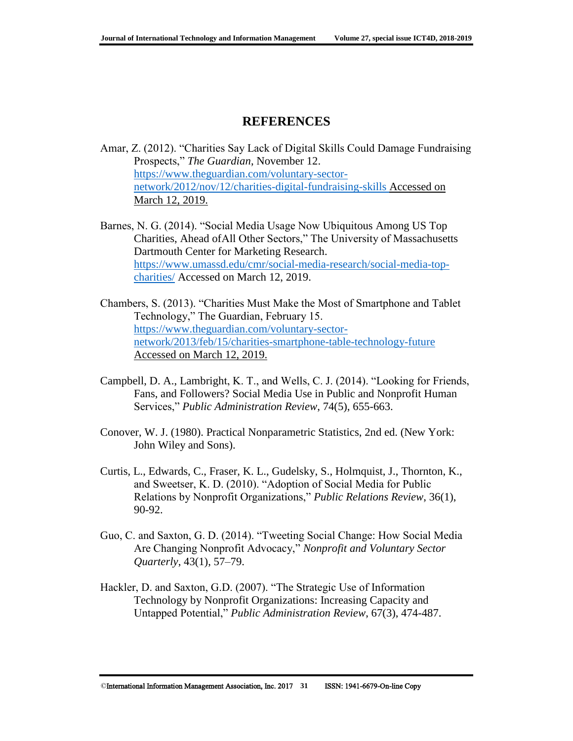## **REFERENCES**

- Amar, Z. (2012). "Charities Say Lack of Digital Skills Could Damage Fundraising Prospects," *The Guardian*, November 12. [https://www.theguardian.com/voluntary-sector](https://www.theguardian.com/voluntary-sector-network/2012/nov/12/charities-digital-fundraising-skills)[network/2012/nov/12/charities-digital-fundraising-skills](https://www.theguardian.com/voluntary-sector-network/2012/nov/12/charities-digital-fundraising-skills) Accessed on March 12, 2019.
- Barnes, N. G. (2014). "Social Media Usage Now Ubiquitous Among US Top Charities, Ahead ofAll Other Sectors," The University of Massachusetts Dartmouth Center for Marketing Research. [https://www.umassd.edu/cmr/social-media-research/social-media-top](https://www.umassd.edu/cmr/social-media-research/social-media-top-charities/)[charities/](https://www.umassd.edu/cmr/social-media-research/social-media-top-charities/) Accessed on March 12, 2019.
- Chambers, S. (2013). "Charities Must Make the Most of Smartphone and Tablet Technology," The Guardian, February 15. [https://www.theguardian.com/voluntary-sector](https://www.theguardian.com/voluntary-sector-network/2013/feb/15/charities-smartphone-table-technology-future)[network/2013/feb/15/charities-smartphone-table-technology-future](https://www.theguardian.com/voluntary-sector-network/2013/feb/15/charities-smartphone-table-technology-future) Accessed on March 12, 2019.
- Campbell, D. A., Lambright, K. T., and Wells, C. J. (2014). "Looking for Friends, Fans, and Followers? Social Media Use in Public and Nonprofit Human Services," *Public Administration Review*, 74(5), 655-663.
- Conover, W. J. (1980). Practical Nonparametric Statistics, 2nd ed. (New York: John Wiley and Sons).
- Curtis, L., Edwards, C., Fraser, K. L., Gudelsky, S., Holmquist, J., Thornton, K., and Sweetser, K. D. (2010). "Adoption of Social Media for Public Relations by Nonprofit Organizations," *Public Relations Review*, 36(1), 90-92.
- Guo, C. and Saxton, G. D. (2014). "Tweeting Social Change: How Social Media Are Changing Nonprofit Advocacy," *Nonprofit and Voluntary Sector Quarterly*, 43(1), 57–79.
- Hackler, D. and Saxton, G.D. (2007). "The Strategic Use of Information Technology by Nonprofit Organizations: Increasing Capacity and Untapped Potential," *Public Administration Review*, 67(3), 474-487.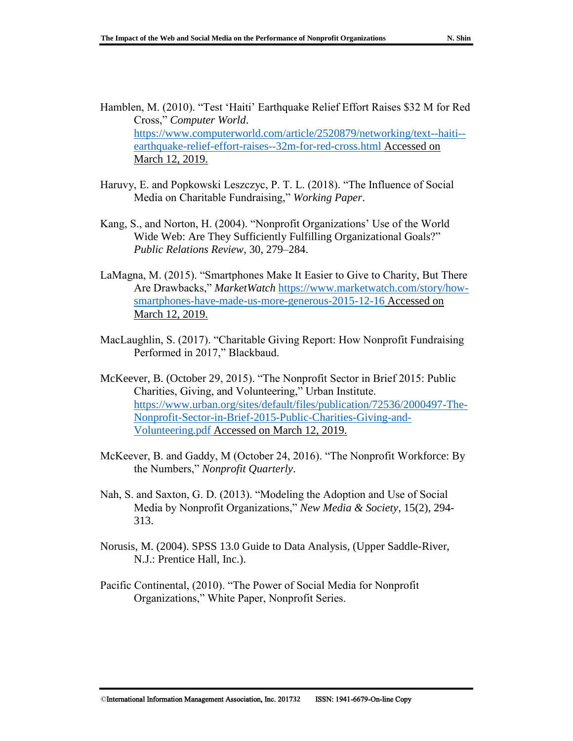- Hamblen, M. (2010). "Test 'Haiti' Earthquake Relief Effort Raises \$32 M for Red Cross," *Computer World*. [https://www.computerworld.com/article/2520879/networking/text--haiti-](https://www.computerworld.com/article/2520879/networking/text--haiti--earthquake-relief-effort-raises--32m-for-red-cross.html) [earthquake-relief-effort-raises--32m-for-red-cross.html](https://www.computerworld.com/article/2520879/networking/text--haiti--earthquake-relief-effort-raises--32m-for-red-cross.html) Accessed on March 12, 2019.
- Haruvy, E. and Popkowski Leszczyc, P. T. L. (2018). "The Influence of Social Media on Charitable Fundraising," *Working Paper*.
- Kang, S., and Norton, H. (2004). "Nonprofit Organizations' Use of the World Wide Web: Are They Sufficiently Fulfilling Organizational Goals?" *Public Relations Review*, 30, 279–284.
- LaMagna, M. (2015). "Smartphones Make It Easier to Give to Charity, But There Are Drawbacks," *MarketWatch* [https://www.marketwatch.com/story/how](https://www.marketwatch.com/story/how-smartphones-have-made-us-more-generous-2015-12-16)[smartphones-have-made-us-more-generous-2015-12-16](https://www.marketwatch.com/story/how-smartphones-have-made-us-more-generous-2015-12-16) Accessed on March 12, 2019.
- MacLaughlin, S. (2017). "Charitable Giving Report: How Nonprofit Fundraising Performed in 2017," Blackbaud.
- McKeever, B. (October 29, 2015). "The Nonprofit Sector in Brief 2015: Public Charities, Giving, and Volunteering," Urban Institute. [https://www.urban.org/sites/default/files/publication/72536/2000497-The-](https://www.urban.org/sites/default/files/publication/72536/2000497-The-Nonprofit-Sector-in-Brief-2015-Public-Charities-Giving-and-Volunteering.pdf)[Nonprofit-Sector-in-Brief-2015-Public-Charities-Giving-and-](https://www.urban.org/sites/default/files/publication/72536/2000497-The-Nonprofit-Sector-in-Brief-2015-Public-Charities-Giving-and-Volunteering.pdf)[Volunteering.pdf](https://www.urban.org/sites/default/files/publication/72536/2000497-The-Nonprofit-Sector-in-Brief-2015-Public-Charities-Giving-and-Volunteering.pdf) Accessed on March 12, 2019.
- McKeever, B. and Gaddy, M (October 24, 2016). "The Nonprofit Workforce: By the Numbers," *Nonprofit Quarterly*.
- Nah, S. and Saxton, G. D. (2013). "Modeling the Adoption and Use of Social Media by Nonprofit Organizations," *New Media & Society*, 15(2), 294- 313.
- Norusis, M. (2004). SPSS 13.0 Guide to Data Analysis, (Upper Saddle-River, N.J.: Prentice Hall, Inc.).
- Pacific Continental, (2010). "The Power of Social Media for Nonprofit Organizations," White Paper, Nonprofit Series.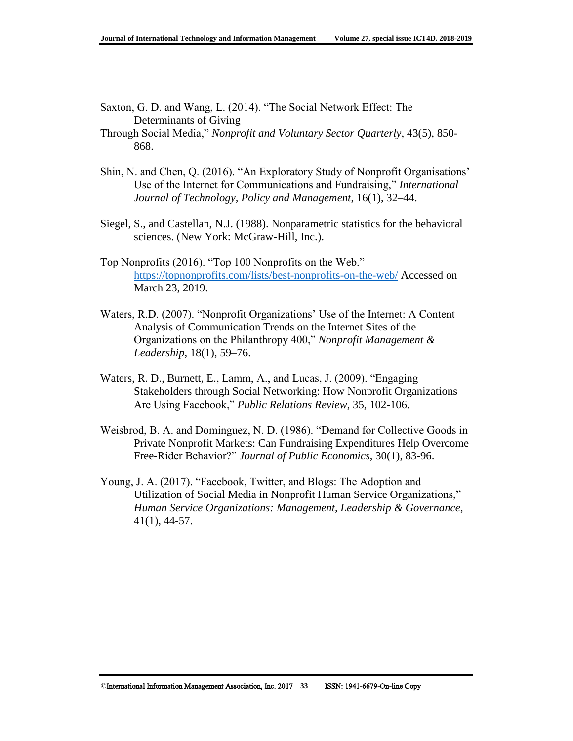- Saxton, G. D. and Wang, L. (2014). "The Social Network Effect: The Determinants of Giving
- Through Social Media," *Nonprofit and Voluntary Sector Quarterly*, 43(5), 850- 868.
- Shin, N. and Chen, Q. (2016). "An Exploratory Study of Nonprofit Organisations' Use of the Internet for Communications and Fundraising," *International Journal of Technology, Policy and Management*, 16(1), 32–44.
- Siegel, S., and Castellan, N.J. (1988). Nonparametric statistics for the behavioral sciences. (New York: McGraw-Hill, Inc.).
- Top Nonprofits (2016). "Top 100 Nonprofits on the Web." <https://topnonprofits.com/lists/best-nonprofits-on-the-web/> Accessed on March 23, 2019.
- Waters, R.D. (2007). "Nonprofit Organizations' Use of the Internet: A Content Analysis of Communication Trends on the Internet Sites of the Organizations on the Philanthropy 400," *Nonprofit Management & Leadership*, 18(1), 59–76.
- Waters, R. D., Burnett, E., Lamm, A., and Lucas, J. (2009). "Engaging Stakeholders through Social Networking: How Nonprofit Organizations Are Using Facebook," *Public Relations Review*, 35, 102-106.
- Weisbrod, B. A. and Dominguez, N. D. (1986). "Demand for Collective Goods in Private Nonprofit Markets: Can Fundraising Expenditures Help Overcome Free-Rider Behavior?" *Journal of Public Economics*, 30(1), 83-96.
- Young, J. A. (2017). "Facebook, Twitter, and Blogs: The Adoption and Utilization of Social Media in Nonprofit Human Service Organizations," *Human Service Organizations: Management, Leadership & Governance*, 41(1), 44-57.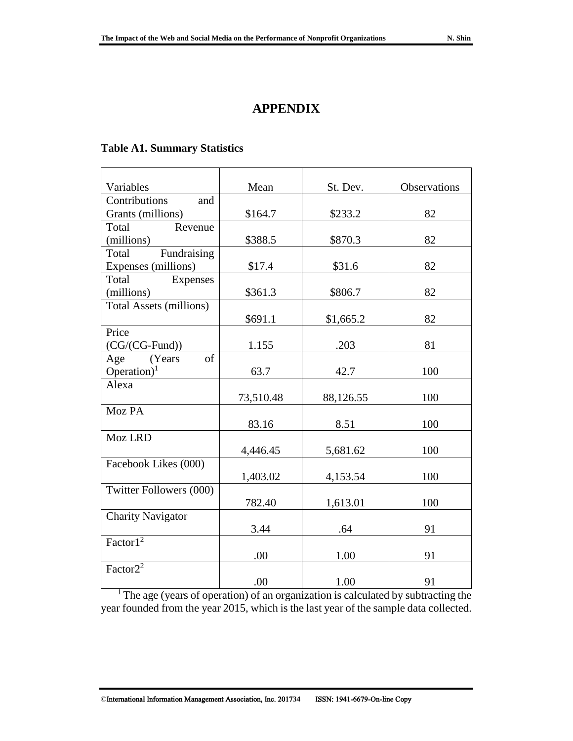## **APPENDIX**

#### **Table A1. Summary Statistics**

| Variables                      | Mean      | St. Dev.  | <b>Observations</b> |  |
|--------------------------------|-----------|-----------|---------------------|--|
| Contributions<br>and           |           |           |                     |  |
| Grants (millions)              | \$164.7   | \$233.2   | 82                  |  |
| Total<br>Revenue               |           |           |                     |  |
| (millions)                     | \$388.5   | \$870.3   | 82                  |  |
| Fundraising<br>Total           |           |           |                     |  |
| Expenses (millions)            | \$17.4    | \$31.6    | 82                  |  |
| Total<br>Expenses              |           |           |                     |  |
| (millions)                     | \$361.3   | \$806.7   | 82                  |  |
| <b>Total Assets (millions)</b> |           |           |                     |  |
|                                | \$691.1   | \$1,665.2 | 82                  |  |
| Price                          |           |           |                     |  |
| $(CG/(CG-Fund))$               | 1.155     | .203      | 81                  |  |
| of<br>(Years)<br>Age           |           |           |                     |  |
| Operation) <sup>1</sup>        | 63.7      | 42.7      | 100                 |  |
| Alexa                          |           |           |                     |  |
|                                | 73,510.48 | 88,126.55 | 100                 |  |
| Moz PA                         |           |           |                     |  |
|                                | 83.16     | 8.51      | 100                 |  |
| Moz LRD                        |           |           |                     |  |
|                                | 4,446.45  | 5,681.62  | 100                 |  |
| Facebook Likes (000)           |           |           |                     |  |
|                                | 1,403.02  | 4,153.54  | 100                 |  |
| Twitter Followers (000)        |           |           |                     |  |
|                                | 782.40    | 1,613.01  | 100                 |  |
| <b>Charity Navigator</b>       |           |           |                     |  |
|                                | 3.44      | .64       | 91                  |  |
| Factor1 <sup>2</sup>           |           |           |                     |  |
|                                | .00       | 1.00      | 91                  |  |
| Factor $2^2$                   |           |           |                     |  |
|                                | .00       | 1.00      | 91                  |  |

<sup>1</sup> The age (years of operation) of an organization is calculated by subtracting the year founded from the year 2015, which is the last year of the sample data collected.